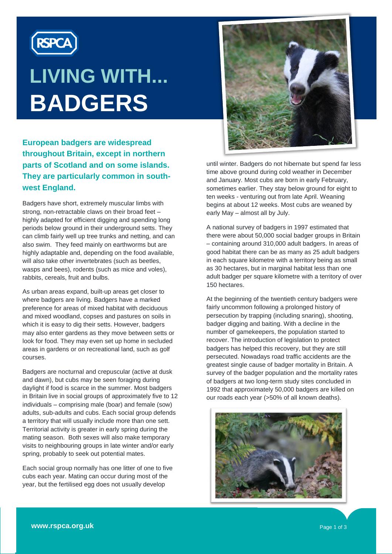

# **LIVING WITH... BADGERS**

**European badgers are widespread throughout Britain, except in northern parts of Scotland and on some islands. They are particularly common in southwest England.**

Badgers have short, extremely muscular limbs with strong, non-retractable claws on their broad feet – highly adapted for efficient digging and spending long periods below ground in their underground setts. They can climb fairly well up tree trunks and netting, and can also swim. They feed mainly on earthworms but are highly adaptable and, depending on the food available, will also take other invertebrates (such as beetles, wasps and bees), rodents (such as mice and voles), rabbits, cereals, fruit and bulbs.

As urban areas expand, built-up areas get closer to where badgers are living. Badgers have a marked preference for areas of mixed habitat with deciduous and mixed woodland, copses and pastures on soils in which it is easy to dig their setts. However, badgers may also enter gardens as they move between setts or look for food. They may even set up home in secluded areas in gardens or on recreational land, such as golf courses.

Badgers are nocturnal and crepuscular (active at dusk and dawn), but cubs may be seen foraging during daylight if food is scarce in the summer. Most badgers in Britain live in social groups of approximately five to 12 individuals – comprising male (boar) and female (sow) adults, sub-adults and cubs. Each social group defends a territory that will usually include more than one sett. Territorial activity is greater in early spring during the mating season. Both sexes will also make temporary visits to neighbouring groups in late winter and/or early spring, probably to seek out potential mates.

Each social group normally has one litter of one to five cubs each year. Mating can occur during most of the year, but the fertilised egg does not usually develop



until winter. Badgers do not hibernate but spend far less time above ground during cold weather in December and January. Most cubs are born in early February, sometimes earlier. They stay below ground for eight to ten weeks - venturing out from late April. Weaning begins at about 12 weeks. Most cubs are weaned by early May – almost all by July.

A national survey of badgers in 1997 estimated that there were about 50,000 social badger groups in Britain – containing around 310,000 adult badgers. In areas of good habitat there can be as many as 25 adult badgers in each square kilometre with a territory being as small as 30 hectares, but in marginal habitat less than one adult badger per square kilometre with a territory of over 150 hectares.

At the beginning of the twentieth century badgers were fairly uncommon following a prolonged history of persecution by trapping (including snaring), shooting, badger digging and baiting. With a decline in the number of gamekeepers, the population started to recover. The introduction of legislation to protect badgers has helped this recovery, but they are still persecuted. Nowadays road traffic accidents are the greatest single cause of badger mortality in Britain. A survey of the badger population and the mortality rates of badgers at two long-term study sites concluded in 1992 that approximately 50,000 badgers are killed on our roads each year (>50% of all known deaths).

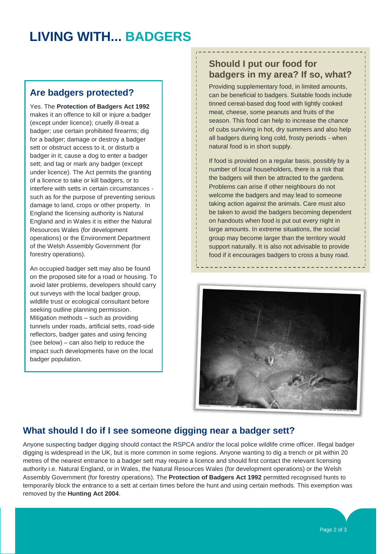## **LIVING WITH... BADGERS**

### **Are badgers protected?**

Yes. The **Protection of Badgers Act 1992** makes it an offence to kill or injure a badger (except under licence); cruelly ill-treat a badger; use certain prohibited firearms; dig for a badger; damage or destroy a badger sett or obstruct access to it, or disturb a badger in it; cause a dog to enter a badger sett; and tag or mark any badger (except under licence). The Act permits the granting of a licence to take or kill badgers, or to interfere with setts in certain circumstances such as for the purpose of preventing serious damage to land, crops or other property. In England the licensing authority is Natural England and in Wales it is either the Natural Resources Wales (for development operations) or the Environment Department of the Welsh Assembly Government (for forestry operations).

An occupied badger sett may also be found on the proposed site for a road or housing. To avoid later problems, developers should carry out surveys with the local badger group, wildlife trust or ecological consultant before seeking outline planning permission. Mitigation methods – such as providing tunnels under roads, artificial setts, road-side reflectors, badger gates and using fencing (see below) – can also help to reduce the impact such developments have on the local badger population.

### **Should I put our food for badgers in my area? If so, what?**

Providing supplementary food, in limited amounts, can be beneficial to badgers. Suitable foods include tinned cereal-based dog food with lightly cooked meat, cheese, some peanuts and fruits of the season. This food can help to increase the chance of cubs surviving in hot, dry summers and also help all badgers during long cold, frosty periods - when natural food is in short supply.

If food is provided on a regular basis, possibly by a number of local householders, there is a risk that the badgers will then be attracted to the gardens. Problems can arise if other neighbours do not welcome the badgers and may lead to someone taking action against the animals. Care must also be taken to avoid the badgers becoming dependent on handouts when food is put out every night in large amounts. In extreme situations, the social group may become larger than the territory would support naturally. It is also not advisable to provide food if it encourages badgers to cross a busy road.

 $\mathcal{L}^{\text{max}}_{\text{max}}$  and  $\mathcal{L}^{\text{max}}_{\text{max}}$  and  $\mathcal{L}^{\text{max}}_{\text{max}}$  and  $\mathcal{L}^{\text{max}}_{\text{max}}$ 



### **What should I do if I see someone digging near a badger sett?**

Anyone suspecting badger digging should contact the RSPCA and/or the local police wildlife crime officer. Illegal badger digging is widespread in the UK, but is more common in some regions. Anyone wanting to dig a trench or pit within 20 metres of the nearest entrance to a badger sett may require a licence and should first contact the relevant licensing authority i.e. Natural England, or in Wales, the Natural Resources Wales (for development operations) or the Welsh Assembly Government (for forestry operations). The **Protection of Badgers Act 1992** permitted recognised hunts to temporarily block the entrance to a sett at certain times before the hunt and using certain methods. This exemption was removed by the **Hunting Act 2004**.